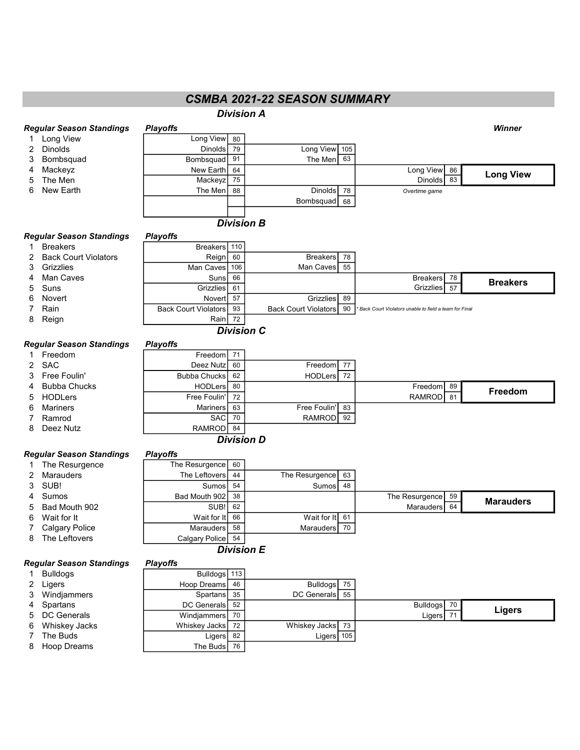## CSMBA 2021-22 SEASON SUMMARY

|   |                                 |                             |    | <b>Division A</b>           |    |                                                       |                  |
|---|---------------------------------|-----------------------------|----|-----------------------------|----|-------------------------------------------------------|------------------|
|   | Regular Season Standings        | <b>Playoffs</b>             |    |                             |    |                                                       | Winner           |
|   | Long View                       | Long View                   | 80 |                             |    |                                                       |                  |
| 2 | <b>Dinolds</b>                  | Dinolds                     | 79 | Long View 105               |    |                                                       |                  |
| 3 | Bombsquad                       | Bombsquad                   | 91 | The Men                     | 63 |                                                       |                  |
| 4 | Mackeyz                         | New Earth                   | 64 |                             |    | Long View<br>86                                       |                  |
| 5 | The Men                         | Mackeyz                     | 75 |                             |    | 83<br><b>Dinolds</b>                                  | <b>Long View</b> |
| 6 | New Earth                       | The Men                     | 88 | <b>Dinolds</b>              | 78 | Overtime game                                         |                  |
|   |                                 |                             |    | Bombsquad                   | 68 |                                                       |                  |
|   |                                 |                             |    | <b>Division B</b>           |    |                                                       |                  |
|   | Regular Season Standings        | <b>Playoffs</b>             |    |                             |    |                                                       |                  |
| 1 | <b>Breakers</b>                 | Breakers 110                |    |                             |    |                                                       |                  |
| 2 | <b>Back Court Violators</b>     | Reign                       | 60 | <b>Breakers</b>             | 78 |                                                       |                  |
| 3 | Grizzlies                       | Man Caves 106               |    | Man Caves                   | 55 |                                                       |                  |
| 4 | Man Caves                       | Suns                        | 66 |                             |    | <b>Breakers</b><br>78                                 | <b>Breakers</b>  |
| 5 | Suns                            | <b>Grizzlies</b>            | 61 |                             |    | Grizzlies<br>57                                       |                  |
| 6 | Novert                          | Novert                      | 57 | Grizzlies                   | 89 |                                                       |                  |
|   | Rain                            | <b>Back Court Violators</b> | 93 | <b>Back Court Violators</b> | 90 | Back Court Violators unable to field a team for Final |                  |
| 8 | Reign                           | Rain                        | 72 |                             |    |                                                       |                  |
|   |                                 |                             |    | <b>Division C</b>           |    |                                                       |                  |
|   | <b>Regular Season Standings</b> | <b>Playoffs</b>             |    |                             |    |                                                       |                  |
|   | Freedom                         | Freedom                     | 71 |                             |    |                                                       |                  |
| 2 | <b>SAC</b>                      | Deez Nutz                   | 60 | Freedom                     | 77 |                                                       |                  |
| 3 | Free Foulin'                    | <b>Bubba Chucks</b>         | 62 | HODLers                     | 72 |                                                       |                  |
| 4 | <b>Bubba Chucks</b>             | <b>HODLers</b>              | 80 |                             |    | Freedom<br>89                                         | Freedom          |
| 5 | <b>HODLers</b>                  | Free Foulin'                | 72 |                             |    | <b>RAMROD</b><br>81                                   |                  |
| 6 | <b>Mariners</b>                 | <b>Mariners</b>             | 63 | Free Foulin'                | 83 |                                                       |                  |
|   | Ramrod                          | <b>SAC</b>                  | 70 | <b>RAMROD</b>               | 92 |                                                       |                  |
| 8 | Deez Nutz                       | RAMROD                      | 84 |                             |    |                                                       |                  |
|   |                                 |                             |    | <b>Division D</b>           |    |                                                       |                  |
|   | Regular Season Standings        | <b>Playoffs</b>             |    |                             |    |                                                       |                  |
|   | 1 The Decursones                | The Penumange of            |    |                             |    |                                                       |                  |

| 1 The Resurgence | The Resurgence | 60 |                   |                     |                  |
|------------------|----------------|----|-------------------|---------------------|------------------|
| 2 Marauders      | The Leftovers  | 44 | The Resurgence 63 |                     |                  |
| 3 SUB!           | Sumosl         | 54 | Sumos 48          |                     |                  |
| 4 Sumos          | Bad Mouth 902  | 38 |                   | The Resurgence   59 | <b>Marauders</b> |
| 5 Bad Mouth 902  | SUB!           | 62 |                   | Marauders 64        |                  |
| 6 Wait for It    | Wait for It 66 |    | Wait for It 61    |                     |                  |
| 7 Calgary Police | Marauders      | 58 | Marauders 70      |                     |                  |
| 8 The Leftovers  | Calgary Police | 54 |                   |                     |                  |

## Division E

#### Regular Season Standings Playoffs

|  | Bulldoc |  |  |
|--|---------|--|--|
|  |         |  |  |

- 
- 4 Spartans
- 5 DC Generals
- 6 Whiskey Jacks
- 7 The Buds
- 8 Hoop Dreams

| Bulldogs        | Bulldogs 113   |    |                  |             |        |
|-----------------|----------------|----|------------------|-------------|--------|
| 2 Ligers        | Hoop Dreams 46 |    | Bulldogs 75      |             |        |
| 3 Windjammers   | Spartans 35    |    | DC Generals 55   |             |        |
| 4 Spartans      | DC Generals 52 |    |                  | Bulldogs 70 | Ligers |
| 5 DC Generals   | Windjammers    | 70 |                  | Ligers      |        |
| 6 Whiskey Jacks | Whiskey Jacks  | 72 | Whiskey Jacks 73 |             |        |
| 7 The Buds      | Ligers         | 82 | Ligers $ 105 $   |             |        |
| 8 Hoop Dreams   | The Buds       | 76 |                  |             |        |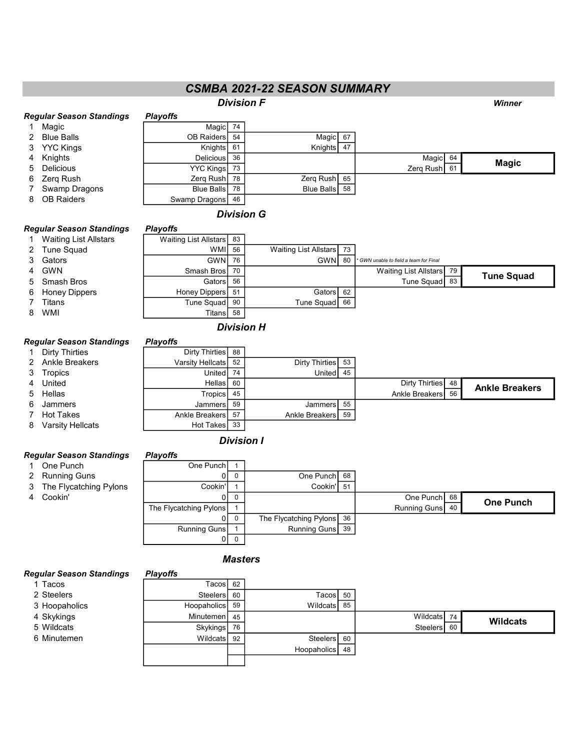## CSMBA 2021-22 SEASON SUMMARY

#### **Division F** Winner Regular Season Standings Playoffs 1 Magic **Magic** 74 2 Blue Balls **COB Raiders** 54 Magic 67 3 YYC Kings **Krights** Knights 61 Knights 47 4 Knights Delicious 36 Nagio Delicious 196 Nagio Delicious 26 Nagio Delicious 26 Nagio Delicious 5 Delicious **Contract Contract Contract Contract Contract Contract Contract Contract Contract Contract Contract Contract Contract Contract Contract Contract Contract Contract Contract Contract Contract Contract Contract Co** 6 Zerq Rush Zerq Rush <sup>78</sup> Zerq Rush <sup>65</sup> 7 Swamp Dragons Blue Balls <sup>78</sup> Blue Balls <sup>58</sup> 8 OB Raiders **Swamp Dragons** 46 Magic

**26 Waiting List Allstars 73** 

## Division G

## Regular Season Standings Playoffs

# 1 Waiting List Allstars Waiting List Allstars 83<br>2 Tune Squad WMI

- 
- 
- 
- 
- 6 Honey Dippers | Honey Dippers 51 Gators 62
- 
- 

### Regular Season Standings Playoffs

| <b>Dirty Thirties</b> |
|-----------------------|
|                       |

- 2 Ankle Breaker
- 
- 
- 
- 
- 7 Hot Takes

## Division I

#### Regular Season Standings Playoffs

- 
- 
- 
- 

#### 1 One Punch **Cone Punch** 1 2 Running Guns 2 0 0 One Punch 68 3 The Flycatching Pylons Cookin' 1 Cookin' 51 4 Cookin' New York Cookin' Cookin' Cookin' Cookin' Cookin' Cookin' Cookin' Cookin' Cookin' Cookin' Cookin' Cookin The Flycatching Pylons 1 1 and 1 Running Guns 40 0 0 The Flycatching Pylons 36 Running Guns 1 Running Guns 39 0 0 One Punch

## **Masters**

## Regular Season Standings Playoffs

- 
- 
- 
- 
- 
- 

## 1 Tacos Tacos 7 Tacos 62 2 Steelers **Steelers** Steelers 60 Tacos 50 3 Hoopaholics **Hoopaholics** 59 Wildcats 85 4 Skykings Minutemen 145 No. 1997年 1000 No. 1997年 1000 Nildcats 14 5 Wildcats **Skykings 76** Skykings 76 Steelers 60 6 Minutemen The Contract Contract Contracts 1 Steelers 60 Hoopaholics 48 **Wildcats**

## 3 Gators **GWN** 76 GWN 60 \* GWN 80 \* GWN 60 Final team for Final 4 GWN Smash Bros 70 | Waiting List Allstars 79 5 Smash Bros **Fig. 1. Transfer Contract Cators** 56 Tune Squad <sup>83</sup>

7 Titans Tune Squad <sup>90</sup> Tune Squad <sup>66</sup> 8 WMI Titans <sup>58</sup> Division H

| Dirty Thirties     | Dirty Thirties   | 88 |                   |    |                     |                       |
|--------------------|------------------|----|-------------------|----|---------------------|-----------------------|
| 2 Ankle Breakers   | Varsity Hellcats | 52 | Dirty Thirties 53 |    |                     |                       |
| 3 Tropics          | United           | 74 | United            | 45 |                     |                       |
| 4 United           | <b>Hellas</b>    | 60 |                   |    | Dirty Thirties   48 | <b>Ankle Breakers</b> |
| 5 Hellas           | <b>Tropics</b>   | 45 |                   |    | Ankle Breakers 56   |                       |
| 6 Jammers          | Jammers          | 59 | JammersI          | 55 |                     |                       |
| 7 Hot Takes        | Ankle Breakers   | 57 | Ankle Breakers 59 |    |                     |                       |
| 8 Varsity Hellcats | Hot Takes        | 33 |                   |    |                     |                       |

Tune Squad